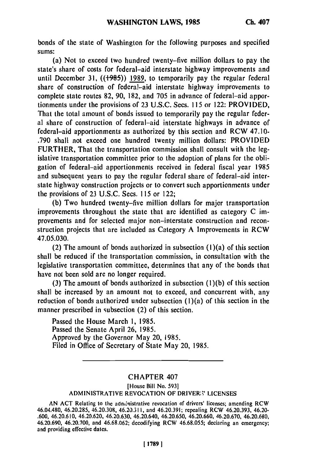bonds of the state of Washington for the following purposes and specified **sums:**

(a) Not to exceed two hundred twenty-five million dollars to pay the state's share of costs for federal-aid interstate highway improvements and until December **31,** ((+985)) **1989,** to temporarily pay the regular federal share of construction of federal-aid interstate highway improvements to complete state routes 82, **90,** 182, and 705 in advance of federal-aid apportionments under the provisions of 23 U.S.C. Secs. **115** or 122: PROVIDED, That the total amount of bonds issued to temporarily pay the regular federal share of construction of federal-aid interstate highways in advance of federal-aid apportionments as authorized **by** this section and RCW 47.10- .790 shall not exceed one hundred twenty million dollars: PROVIDED FURTHER, That the transportation commission shall consult with the **leg**islative transportation committee prior to the adoption of plans for the obligation of federal-aid apportionments received in federal fiscal year 1985 and subsequent years to pay the regular federal share of federal-aid interstate highway construction projects or to convert such apportionments under the provisions of **23** U.S.C. Sees. **115** or 122;

**(b)** Two hundred twenty-five million dollars for major transportation improvements throughout the state that are identified as category C improvements and for selected major non-interstate construction and reconstruction projects that are included as Category A Improvements in RCW 47.05.030.

(2) The amount of bonds authorized in subsection (l)(a) of this section shall **be** reduced if the transportation commission, in consultation with the legislative transportation committee, determines that any of the bonds that have not been sold are no longer required.

**(3)** The amount of bonds authorized in subsection (1)(b) of this section shall be increased **by** an amount not to exceed, and concurrent with, any reduction of bonds authorized under subsection  $(1)(a)$  of this section in the manner prescribed in subsection (2) of this section.

Passed the House March **1,** 1985. Passed the Senate April 26, 1985. Approved **by** the Governor May 20, 1985. Filed in Office of Secretary of State May 20, **1985.**

## CHAPTER 407

## [House Bill No. **593]**

## **ADMINISTRATIVE REVOCATION OF DRIVER:'** LICENSES

AN ACT Relating to the administrative revocation of drivers' licenses; amending RCW 46.04.480, 46.20.285, 46.20.308, 46.20.311, **and** 46.20.391; repealing **RCW 46.20.393,** 46.20- .600, 46.20.610, 46.20.620, 46.20.630, 46.20.640, 46.20.650, 46.20.660, 46.20.670, 46.20.680, 46.20.690, 46.20.700, and 46.68.062; decodifying RCW 46.68.055; declaring an emergency; and providing effective dates.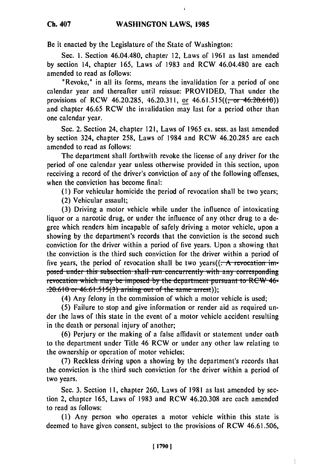Be it enacted **by** the Legislature of the State of Washington:

Sec. 1. Section 46.04.480, chapter 12, Laws of 1961 as last amended by section 14, chapter 165, Laws of 1983 and RCW 46.04.480 are each amended to read as follows:

"Revoke," in all its forms, means the invalidation for a period of one calendar year and thereafter until reissue: PROVIDED, That under the provisions of RCW 46.20.285, 46.20.311, or  $46.61.515((\text{--}or\text{--}46.20.610))$ and chapter 46.65 RCW the invalidation may last for a period other than one calendar year.

Sec. 2. Section 24, chapter 121, Laws of 1965 ex. sess. as last amended by section 324, chapter 258, Laws of 1984 and RCW 46.20.285 are each amended to read as follows:

The department shall forthwith revoke the license of any driver for the period of one calendar year unless otherwise provided in this section, upon receiving a record of the driver's conviction of any of the following offenses, when the conviction has become final:

(1) For vehicular homicide the period of revocation shall be two years;

(2) Vehicular assault;

(3) Driving a motor vehicle while under the influence of intoxicating liquor or a narcotic drug, or under the influence of any other drug to a degree which renders him incapable of safely driving a motor vehicle, upon a showing by the department's records that the conviction is the second such conviction for the driver within a period of five years. Upon a showing that the conviction is the third such conviction for the driver within a period of five years, the period of revocation shall be two years( $(-A$  revocation imposed under this subsection shall run concurrently with any corresponding revocation which may be imposed by the department pursuant to RCW 46- $(4)$  Any felony in the commission of the same arrest);<br>(4) Any felony in the commission of which a motor vehicle is used;

(5) Failure to stop and give information or render aid as required under the laws of this state in the event of a motor vehicle accident resulting in the death or personal injury of another;

(6) Perjury or the making of a false affidavit or statement under oath to the department under Title 46 RCW or under any other law relating to the ownership or operation of motor vehicles,

(7) Reckless driving upon a showing by the department's records that the conviction is the third such conviction for the driver within a period of two years.

Sec. 3. Section II, chapter 260, Laws of 1981 as last amended by section 2, chapter 165, Laws of 1983 and RCW 46.20.308 are each amended to read as follows:

(1) Any person who operates a motor vehicle within this state is deemed to have given consent, subject to the provisions of RCW 46.61.506,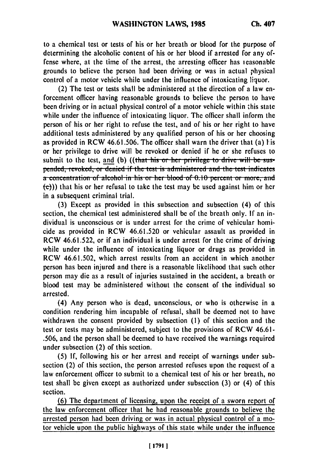to a chemical test or tests of his or her breath or blood for the purpose of determining the alcoholic content of his or her blood if arrested for any offense where, at the time of the arrest, the arresting officer has reasonable grounds to believe the person had been driving or was in actual physical control of a motor vehicle while under the influence of intoxicating liquor.

(2) The test or tests shall be administered at the direction of a law enforcement officer having reasonable grounds to believe the person to have been driving or in actual physical control of a motor vehicle within this state while under the influence of intoxicating liquor. The officer shall inform the person of his or her right to refuse the test, and of his or her right to have additional tests administered **by** any qualified person of his or her choosing as provided in RCW **46.61.506.** The officer shall warn the driver that (a) I is or her privilege to drive will be revoked or denied if he or she refuses to submit to the test, and (b) ((that his or her privilege to drive will be suspended, revoked, or denied if the test is administered and the test indicates a concentration of alcohol in his or her blood of 0.10 percent or more, and (c))) that his or her refusal to take the test may be used against him or her in a subsequent criminal trial.

**(3)** Except as provided in this subsection and subsection (4) of this section, the chemical test administered shall be of the breath only. **If** an individual is unconscious or is under arrest for the crime of vehicular homicide as provided in RCW **46.61.520** or vehicular assault as provided in RCW **46.61.522,** or if an individual is under arrest for the crime of driving while under the influence of intoxicating liquor or drugs as provided in RCW 46.61.502, which arrest results from an accident in which another person has been injured and there is a reasonable likelihood that such other person may die as a result of injuries sustained in the accident, a breath or blood test may be administered without the consent of the individual so arrested.

(4) Any person who is dead, unconscious, or who is otherwise in a condition rendering him incapable of refusal, shall be deemed not to have withdrawn the consent provided **by** subsection **(I)** of this section and the test or tests may be administered, subject to the provisions of RCW 46.61- **.506,** and the person shall be deemed to have received the warnings required under subsection (2) of this section.

**(5) If,** following his or her arrest and receipt of warnings under subsection (2) of this section, the person arrested refuses upon the request of a law enforcement officer to submit to a chemical test of his or her breath, no test shall be given except as authorized under subsection **(3)** or (4) of this section.

**(6)** The department of licensing, upon the receipt of a sworn report of the law enforcement officer that he had reasonable grounds to believe the arrested person had been driving or was in actual physical control of a motor vehicle upon the public highways of this state while under the influence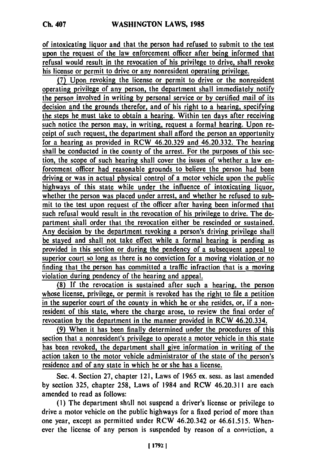of intoxicating liquor and that the person had refused to submit to the test upon the request of the law enforcement officer after being informed that

refusal would result in the revocation of his privilege to drive, shall revoke his license or permit to drive or any nonresident operating privilege.

**(7)** Upon revoking the license or permit to drive or the nonresident **operating** privilege of any person, the department shall immediately notify **the** person involved in writing **by** personal service or **by** certified mail of its decision and the grounds therefor, and of his right to a hearing, specifying the steps he must take to obtain a hearing. Within ten days after receiving such notice the person may, in writing, request a formal hearing. Upon receipt of such request, the department shall afford the person an opportunity for a hearing as provided in RCW 46.20.329 and 46.20.332. The hearing shall be conducted in the county of the arrest. For the purposes of this section, the scope of such hearing shall cover the issues of whether a law enforcement officer had reasonable grounds to believe the person had been driving or was in actual physical control of a motor vehicle upon the public highways of this state while under the influence of intoxicating liquor, whether the person was placed under arrest, and whether he refused to submit to the test upon request of the officer after having been informed that such refusal would result in the revocation of his privilege to drive. The department shall order that the revocation either be rescinded or sustained. Any decision **by** the department revoking a person's driving privilege shall be stayed and shall not take effect while a formal hearing is pending as provided in this section or during the pendency of a subsequent appeal to superior court so long as there is no conviction for a moving violation or no finding that the person has committed a traffic infraction that is a moving violation during pendency of the hearing and appeal.

**(8) If** the revocation is sustained after such a hearing, the person whose license, privilege, or permit is revoked has the right to file a petition in the superior court of the county in which he or she resides, or, if a nonresident of this state, where the charge arose, to review the final order of revocation **by** the department in the manner provided in RCW 46.20.334.

**(9)** When it has been finally determined under the procedures of this section that a nonresident's privilege to operate a motor vehicle in this state has been revoked, the department shall give information in writing of the action taken to the motor vehicle administrator of the state of the person's residence and of any state in which he or she has a license.

Sec. 4. Section 27, chapter 121, Laws of 1965 ex. sess. as last amended by section 325, chapter 258, Laws of 1984 and RCW 46.20.311 are each amended to read as follows:

**(1)** The department shrill not suspend a driver's license or privilege to drive a motor vehicle on the public highways for a fixed period of more than one year, except as permitted under RCW 46.20.342 or 46.61.515. Whenever the license of any person is suspended by reason of a conviction, a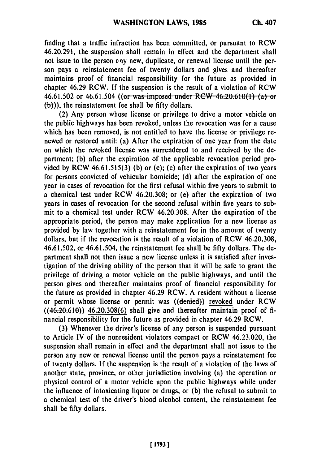finding that a traffic infraction has been committed, or pursuant to RCW 46.20.291, the suspension shall remain in effect and the department shall not issue to the person any new, duplicate, or renewal license until the person pays a reinstatement fee of twenty dollars and gives and thereafter maintains proof of financial responsibility for the future as provided in chapter 46.29 RCW. If the suspension is the result of a violation of RCW 46.61.502 or 46.61.504 ((or was imposed under RCW 46.20.610(1) (a) or **(b))),** the reinstatement fee shall be fifty dollars.

(2) Any person whose license or privilege to drive a motor vehicle on the public highways has been revoked, unless the revocation was for a cause which has been removed, is not entitled to have the license or privilege renewed or restored until: (a) After the expiration of one year from the date on which the revoked license was surrendered to and received by the department; (b) after the expiration of the applicable revocation period provided by RCW  $46.61.515(3)$  (b) or (c); (c) after the expiration of two years for persons convicted of vehicular homicide; (d) after the expiration of one year in cases of revocation for the first refusal within five years to submit to a chemical test under RCW 46.20.308; or (e) after the expiration of two years in cases of revocation for the second refusal within five years to submit to a chemical test under RCW 46.20.308. After the expiration of the appropriate period, the person may make application for a new license as provided by law together with a reinstatement fee in the amount of twenty dollars, but if the revocation is the result of a violation of RCW 46.20.308, 46.61.502, or 46.61.504, the reinstatement fee shall be fifty dollars. The department shall not then issue a new license unless it is satisfied after investigation of the driving ability of the person that it will be safe to grant the privilege of driving a motor vehicle on the public highways, and until the person gives and thereafter maintains proof of financial responsibility for the future as provided in chapter 46.29 RCW. A resident without a license or permit whose license or permit was ((denied)) revoked under RCW  $((46.20.610))$  46.20.308(6) shall give and thereafter maintain proof of financial responsibility for the future as provided in chapter 46.29 RCW.

(3) Whenever the driver's license of any person is suspended pursuant to Article IV of the nonresident violators compact or RCW 46.23.020, the suspension shall remain in effect and the department shall not issue to the person any new or renewal license until the person pays a reinstatement fee of twenty dollars. If the suspension is the result of a violation of the laws of another state, province, or other jurisdiction involving (a) the operation or physical control of a motor vehicle upon the public highways while under the influence of intoxicating liquor or drugs, or (b) the refusal to submit to a chemical test of the driver's blood alcohol content, the reinstatement fee shall be fifty dollars.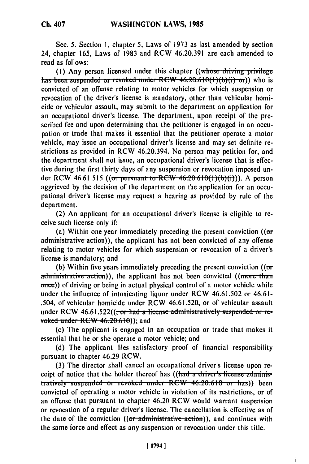Sec. **5.** Section 1, chapter 5, Laws of **1973** as last amended **by** section 24, chapter 165, Laws of 1983 and RCW 46.20.391 are each amended to read as follows:

(1) Any person licensed under this chapter ((whose driving privilege has been suspended or revoked under RCW 46.20.610(1)(b)(i) or)) who is convicted of an offense relating to motor vehicles for which suspension or revocation of the driver's license is mandatory, other than vehicular homicide or vehicular assault, may submit to the department an application for an occupational driver's license. The department, upon receipt of the prescribed fee and upon determining that the petitioner is engaged in an occupation or trade that makes it essential that the petitioner operate a motor vehicle, may issue an occupational driver's license and may set definite restrictions as provided in RCW 46.20.394. No person may petition for, and the department shall not issue, an occupational driver's license that is effective during the first thirty days of any suspension or revocation imposed under RCW 46.61.515 ((or pursuant to RCW 46.20.610(1)(b)(i))). A person aggrieved by the decision of the department on the application for an occupational driver's license may request a hearing as provided by rule of the department.

(2) An applicant for an occupational driver's license is eligible to receive such license only if:

(a) Within one year immediately preceding the present conviction  $($  (or administrative action)), the applicant has not been convicted of any offense relating to motor vehicles for which suspension or revocation of a driver's license is mandatory; and

(b) Within five years immediately preceding the present conviction (( $\sigma$ r administrative action)), the applicant has not been convicted ((more than once)) of driving or being in actual physical control of a motor vehicle while under the influence of intoxicating liquor under RCW 46.61.502 or 46.61- .504, of vehicular homicide under RCW 46.61.520, or of vehicular assault under RCW 46.61.522((<del>, or had a license administratively suspended or re-</del> voked under  $RCW$  46.20.610)); and

(c) The applicant is engaged in an occupation or trade that makes it essential that he or she operate a motor vehicle; and

(d) The applicant files satisfactory proof of financial responsibility pursuant to chapter 46.29 RCW.

(3) The director shall cancel an occupational driver's license upon receipt of notice that the holder thereof has ((had a driver's license adminis**tratively** suspended or revoked under RCW 46.20.610 or has)) been convicted of operating a motor vehicle in violation of its restrictions, or of an offense that pursuant to chapter 46.20 RCW would warrant suspension or revocation of a regular driver's license. The cancellation is effective as of the date of the conviction  $($ (or administrative action)), and continues with the same force and effect as any suspension or revocation under this title.